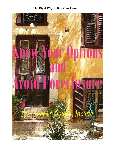#### **The Right Way to Buy Your Home**

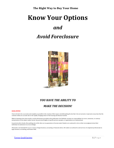**The Right Way to Buy Your Home**

# **Know Your Options**

# *and*

# *Avoid Foreclosure*



#### *YOU HAVE THE ABILITY TO*

#### *MAKE THE DECISION!*

#### **LEGAL NOTICE**

I have strived to be as accurate and complete as possible in the creation of this report, notwithstanding the fact that I do not warrant or represent at any time that the contents within are accurate due to the rapidly changing nature of the housing and financial market.

While all attempts have been made to verify information provided in this publication, the Publisher assumes no responsibility for errors, omissions, or contrary interpretation of the subject matter herein. Any perceived slights of specific persons, peoples, or organizations are unintentional.

In practical advice books, like anything else in life, there are no guarantees of income made. Readers are cautioned to rely on their own judgment about their individual circumstances to act accordingly.

This book is not intended for use as a source of legal, business, accounting or financial advice. All readers are advised to seek services of competent professionals in legal, business, accounting, and finance field.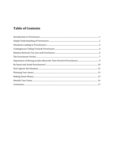#### **Table of Contents**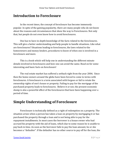#### <span id="page-3-0"></span>**Introduction to Foreclosure**

In the recent times, the concept of foreclosure has become immensely popular. In spite of the gaining popularity, there are many people who do not know about the reasons and circumstances that show the way to Foreclosures. Not only that, but people do not even know how to avoid foreclosures.

One has to have in-depth knowledge of the facts related to the foreclosures. This will give a better understanding and help people to handle situations. Like what are foreclosures? Situations leading to foreclosures, the laws related to the homeowners and money lenders, procedures to know of when one is involved in a foreclosure and more.

This is a book which will help one in understanding the different minute details involved in foreclosures and how one can avoid the same. Read on for some interesting and basic facts on foreclosure!

The real estate market has suffered a setback right from the year 2006. Since then the home owners around the globe have been forced to come to terms with foreclosures. A foreclosure is a term associated with forgoes or fail to retain the ownership rights of one's house or property. Failing to pay for the mortgage of the purchased property leads to foreclosures. Believe it or not, the present economic slump is also a powerful effect of the foreclosures that have been happening over a period of time.

### <span id="page-3-1"></span>**Simple Understanding of Foreclosure**

Foreclosure is technically defined as a right of redemption on a property. The situation arises when a person has taken a loan on property by mortgaging it or has purchased the property through a loan and is not being able to pay for the repayment installments. In most cases the borrower is a house owner who had accrued his property with the aid of loans, which due to some reason he is unable to pay back in time. As soon as the borrower fails to pay the loan amount, he or she becomes a "defaulter". If the defaulter has no other source to pay off for the loan, the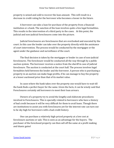property is seized and sold to recover the loan amount. This will result in a decrease in credit rating for the borrower who becomes a looser in the future.

A borrower can take a loan for purchase of the property from a financial institution or a bank. The sanction of the loan involves quite a few legal formalities. This results in the intervention of a third party in the cases. At this point, the judicial and non-judicial foreclosures come into the picture.

Judicial foreclosures are foreclosures that are overlooked and executed by the court. In this case the lender can take over the property directly with the assistance of court intervention. The process would be conducted by the mortgagee or the agent under the guidance and surveillance of the court.

The final decision is taken by the mortgagee or lender in case of non-judicial foreclosures. The foreclosure would be conducted all the way through by a public auction system. The borrower receives a notice from the sheriff in case of judicial foreclosure. The auction is conducted at the court hall. The process involves legal formalities held between the lender and the borrower. A person who is purchasing a property in an auction can make huge profits, if he can manage to buy the property at a lesser auctioned price than that of its market value.

In cases where the bank takes over the property one would have to wait till the bank finds a perfect buyer for the same. Given the facts, it can be wisely said that Foreclosures certainly aid borrowers to meet their loan arrears.

Owners of a property try to avoid the lengthy and elaborate procedures involved in Foreclosures. This is specially related to borrowers who have a history of bad credit because it will be very difficult for them to avail loans. Though there are institutions to assist you with foreclosures yet for the interest rate can turn out to be sky high for borrowers with a bad credit history.

One can purchase a relatively high-priced property at a low cost at foreclosure auctions or sale. This is seen as an advantage for the buyers. The purchaser of the foreclosed property can then sell off the same at a profit making and titanic gains!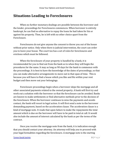#### <span id="page-5-0"></span>**Situations Leading to Foreclosures**

When no further monetary dealings are possible between the borrower and the lender, proceedings for Foreclosures commences. When borrower is entirely bankrupt, he can find no alternative to repay the loans he had taken for his or against his property. Then, he is left with no other choice apart from the Foreclosure.

Foreclosures do not give anyone the consent to throw you out of the house without prior notice. Only when there is judicial intervention, the court can order you to leave your house. The court too has a set of rules for foreclosures and evictions which must be followed.

When the foreclosure of your property is handled by a bank, it is recommended for you to find out from the bank as to when they will begin the procedures for the same. It may as long as 90 days for the bank to commence with the proceedings. It is best to have the knowledge of the dates of proceedings, so that you can make alternative arrangements to move out in that span of time. This is because you will have to find a house which you like and fits within your rent budget and then move out your belongings.

Foreclosure proceedings begin when a borrower skips the mortgage and all other associated payments related to the owned property. A bank will first try and work out a solution with the borrower so that the foreclosure can be avoided. Banks are known to make settlements or find alternative methods prior to the decision of the foreclosure. When the borrower continues to miss the payments and avoids contact, the bank will resort to legal action. It will first send a note to the borrower demanding payment, based on the acceleration clause. The acceleration clause is a kind of mortgage note. It reads that upon failure to make the repayments the total amount which is due on the borrower will have to be paid in total at call. It would also include the amount of interest calculated by the bank as per the terms of the contract.

Once you receive the mortgage note from the bank, it is indication enough that you should contact your attorney. An attorney will help you to proceed with your legal formalities regarding the foreclosure. A mortgage note is the starting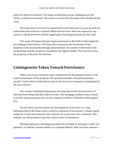point of a future foreclosure. The banks would follow up by sending across the "Notice of Intent to foreclose" the notice is served with the help of the sheriff and the court.

Once the notice is served it is expected from the borrower to meet up with the authorities and work out a solution. When the borrower does not respond to any notice or call the borrower will be tagged guilt of missing payments by the court.

The court will apparently give legal permission to the bank to then begin the proceedings of foreclosure. The bank then announces the foreclosure of the property in the local media through advertisement. An auction is followed on the decided date and the property is handed to the highest bidder. The borrower loses his property as the price for his loan.

#### <span id="page-6-0"></span>**Contingencies Taken Toward Foreclosure**

When a borrower misses to make repayments for his amount of loan, it will lead to foreclosure of the property. The specified number of missed payments, usually 3 total, which would lead to seal on the borrower's property is mentioned in the loan contract.

The number of defaulted payments also depends on the characteristics of loan you have along with the contract terms. The mortgage contract states clearly as to how many payments you can miss ahead of a Notice of Default is filed against you.

As and when a person misses the first payment of the loan, it is a big indication that in the future there could be a situation of foreclosure. A home equity credit line to lock your interest rates must be set to prevent such a situation. This will give you the prospect to get fast cash in cases of emergency.

Missing paying up a mortgage payment not as simple as missing a credit card payment. It could be counted similar to a criminal offence. After you have missed a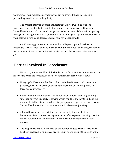maximum of four mortgage payments, you can be assured that a Foreclosure proceeding would be started against you.

The credit history of a person is negatively affected when he evades a mortgage repayment. A bad credit history reduces the chances of getting future loans. These loans could be useful to a person as he can save his house from getting mortgaged, through the loans. If you default at the mortgage repayments, chances of your getting future loans decrease with every payments default.

Avoid missing payments in a row as this will speed up the foreclosure procedure for you. Once you have missed around three to four payments, the lender party, bank or financial institution will begin the foreclosure proceedings against you.

#### **Parties Involved in Foreclosure**

Missed payments would lead the banks or the financial institutions to declare foreclosure. Once the foreclosure has been declared the rest would follow:

- Mortgage holders and other lien holders who hold interest in loans on your property, used as collateral, would be amongst one of the first people to foreclose your property.
- Banks and additional financial institutions from where you had got a lump sum loan for your property following which you failed to pay them back the monthly installments are also liable to put up your property for a foreclosure. This will be done with assistance from the local court or judiciary.
- A forced foreclosure and eviction can be issued by the sheriff, if the homeowner fails to make the payments even after repeated warnings. Notice is even served when the borrower does not respond or ignores eviction notices.
- The property is finally foreclosed by the auction houses. Once a foreclosure has been declared, legal notices are put up in public stating the details of the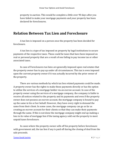property in auction. This would be complete a little over 90 days after you have failed to make your mortgage payments and your property has been declared for foreclosures.

#### <span id="page-8-0"></span>**Relation Between Tax Lien and Foreclosure**

A tax lien is imposed on a person once the property has been decided for foreclosure.

A tax lien is a type of tax imposed on property by legal institutions to secure payments of the respective taxes. These could be taxes that have been imposed on real or personal property that are a result of one failing to pay income tax or other associated taxes.

In case of Foreclosures tax liens are generally imposed upon real estates that the property owner has to pay up under all circumstances. This tax is even imposed upon the current property owner if it was actually incurred by the prior owner of the property.

There are various methods by which tax lien related payments could be made. A property owner has the rights to make these payments directly or has the option to utilize the services of a mortgage holder via an escrow account. In case of the property owner using the services of a mortgage company, the company is liable to receive all notices related to the property and its payments and even if the property owner does not possess an escrow account, the mortgage company is bound to pay up the same in his or her behalf. However, they have every right to demand the same from their client. In some cases, the mortgage company can go as far as creating an escrow account for their clients so that they can make their payments through the same. If this is not done the mortgage company might end up making a loss in its value of mortgage lien if the taxing agency sold out the property to meet unpaid taxes foreclosure.

In cases where the property owner sells off his property before foreclosure with government aid, the tax lien if any is paid off during the closing of deal from the sale proceeds.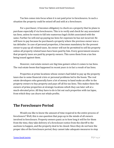Tax lien comes into focus when it is not paid prior to foreclosures. In such a situation the property could be seized off and sold at a foreclosure.

For a purchaser, it becomes obligatory to check on a property that he plans to purchase especially if via foreclosures. This is to verify and check for any associated tax liens, unless he wants to fall into numerous legal clichés associated with the same. Further he will end up paying tax liens for expenses he has not incurred. He will have to pay because he purchased a property where the previous owner was a tax defaulter. In case of personal properties, it becomes mandatory for the present owner to pay up all related taxes. An owner will not be permitted to sell his property unless all property related taxes have been paid by him. Every government ensures that property taxes are paid by property owners. This saves them from a tax lien being issued against them.

However, real estate owners are big time gainers when it comes to tax liens. The real estate boom that happened in recent years is in fact a result of tax liens.

Properties at prime locations whose owners had failed to pay up the property taxes due to some financial crisis or personal problems led to the boom. The real estate developers who generally have a lot of money in hand make an offer to the property owners to buy property and pays off all his tax liens. This makes them the owners of prime properties at strategic locations which they can later sell at a much-elevated price. All they have to do is list out such properties with tax lapse, from which they can churn out whale profits.

#### <span id="page-9-0"></span>**The Foreclosure Period**

Would you like to know the amount of time required in the entire process of foreclosure? Well, this is one question that pops up in the minds of all owners involved in foreclosure. Property owners panic as to how long it will be for them from the time, they take delivery of a foreclosure notice from the sheriff to the auctions to happen, and the property deal to be closed. Since they do not have the proper idea of the foreclosure period, they cannot take adequate measures to stop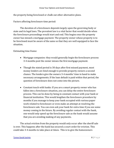the property being foreclosed or chalk out other alternative plans.

Factors affecting foreclosure time period:

The duration of a foreclosure depends largely upon the governing body or state and its legal laws. The prevalent law is a vital factor that would decide when the foreclosure proceedings would start and end. This begins once the property owner has missed a mortgage payment. The property owner whose property is to be foreclosed must be aware of the same so that they are well equipped to face the situation.

#### Estimating time frame:

- Mortgage companies: they would generally begin the foreclosure process 3-4 months post the owner misses the first mortgage payment.
- Though the stated period is 30 days after first missed payment, most money lenders are kind enough to provide property owners a second chance. The lenders give the owners 3-4 months' time in hand to make necessary arrangements. If the loan default is paid within that period, the question of foreclosure does not come into the picture.
- Constant touch with banks: If you are a smart property owner who has fallen into a foreclosure situation, you can delay the entire foreclosure process. This can be done by being in constant contact with your bank or financial institution. This would lengthen the foreclosure procedure by months if you manage to keep your bank occupied with various paper work related to foreclosure or even make an attempt at resolving the foreclosure sale. You can even ask your bank for extra time if you see some money coming in the future. By avoiding regular contact with the bank, one would only speed up the foreclosure sale as the bank would assume that you are avoiding making of any payments.

The actual eviction from the property would only occur after the sheriff sale is over. This happens after the bank has secured a court order for eviction. This could take 3-4 months to take place at times. This is to give the homeowners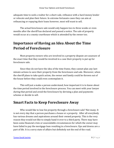adequate time to seek a realtor for a short-sale, refinance with a hard money lender or relocate and plan their future. In extreme fortunate cases they can aim at refinancing or repaying their loans however, most will want to sell.

The actual foreclosure sale would only happen two to three weeks or even months after the sheriff has declared and passed a notice. The sale of property would occur at a county courthouse which is attended by the owner too.

### <span id="page-11-0"></span>**Importance of Having an Idea About the Time Period of Foreclosure**

Most property owners who are involved in a property dispute are unaware of the exact time that they would be involved in a case their property is put up for foreclosure sale.

Since they do not have the idea of the time frame, they cannot plan any lastminute actions to save their property from the foreclosure and sale. Moreover, when the sheriff plans to take quick action, the owner and family could be thrown out of the house before they could even contemplate it.

This will just a make a person understand, how important it is to know about the time period involved in the foreclosure process. You can meet with your lawyer during that period and avoid the foreclosure by devising a plan and payments scheme or decide to sell.

#### **Smart Facts to Keep Foreclosure Away**

Who would like to lose his property through a foreclosure sale? Not many. It is not every day that a person purchases a house or a property. After all everybody has various dreams and aspirations around their owned property. This is the very reason they would not like to simply hand it over to a third party. There may have been some financial crisis or unavoidable circumstances for which the owner may have failed to pay the mortgage loan resulting in a foreclosure. Ups and downs are a part of life. It is a sorry state of affairs but definitely not the end of the road.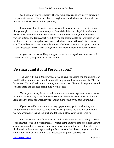Well, you don't have to worry! There are numerous options slowly emerging for property owners. These are like the magic clauses which are adept in order to prevent foreclosure sale of their property.

If you have plans to avoid a foreclosure sale of your property, the first step that you ought to take is to contact your financial advisor or a legal firm which is well experienced in handling a foreclosure situation will guide you through the various options available. Apart from this you can look up different websites on the net for advises or read up blogs of people who have been victims of a foreclosure sale. You will come across some information which will give you the tips to come out of the foreclosure mess. These will give you a reasonable idea on how to advance.

As you read on, we will be giving you some *interesting tips* on how to avoid foreclosures on your property in this chapter.

#### <span id="page-12-0"></span>**Be Smart and Avoid Foreclosures?**

To begin with *get in touch with counseling agent* to advise you for a home loan modification. A home loan modification will help you reduce your monthly EMI's for home loan. This will help you to retain your house as small monthly payments could be affordable and chances of skipping it will be less.

*Talk to your money lender* to help work out solutions to prevent a foreclosure. Be it your bank or any other financial institution from where you have availed the loan, speak to them for alternative ideas and plans to help you save your house.

If you're unable to make your mortgage payment, get in touch with your lender immediately in order to stop foreclosure. Ignoring the bills will only make matters worse, increasing the likelihood that you'll lose your home for sure.

Borrowers who look for foreclosure help early are much more likely to work out a solution, even in dire situation. Mortgage companies want to avoid foreclosure as much as you; this is because they make more money in the interest involved in the loan than they make in processing a foreclosure a deal. Based on your situation, your lender may be able to offer the foreclosure help that you require.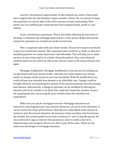*Look for reinstatement opportunities:* in this method, the owner of the house who is apparently also the defaulter is given another chance. He can choose to make the payments on a future date of the entire amount of loans outstanding. Who knows you can suddenly get a bulk amount from company bonus, profit or a tax refund.

*Go for a forbearance agreement*: That is the lender allowing the borrower to decrease or minimize the mortgage payments for a time period. Within this period options for payments are worked out on the current loan.

*Plan a repayment plan* with your fund's lender, till you have money structured to pay your actual loan amount. This repayment plan would be so made, so that your monthly payments are made much lower and affordable. This will help you to make up most of your losses and be in a better financial position. Once your financial position improves you will to be able to pay off your loans at the actual amount once again.

*Mortgage modification*. Mortgage modification is the process of working out an agreement with your money lender, whereby you could request your money lender to change certain terms on your loan document. With the modification you could still pay your monthly loan amount at an affordable rate. Changes could be brought about by incorporating the amount of the missed payments into the existing loan balance. Alternatively, a change in payment can by modified by altering the interest rates from variable to be fixed. One could also extend the number of years for repaying the loan. Increasing the years would reduce the monthly loan expenditure.

Make sure you *opt for mortgage insurance*. Mortgage insurances are insurances issued against your loan amount which you can use in crisis situations. It can be used in the times of foreclosure whereby you could obtain some amount of money to save the present situation. An insurance claim can delay your foreclosure for months. You would qualify if your loan is between 4- and 12-months period. All you need to do is sign an interest free promissory note to enable a lien to be imposed upon your property till you are able to pay off the same. These are the numerous advantages of mortgage insurance.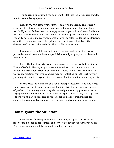*Avoid missing a payment* if you don't want to fall into the foreclosure trap. It's best to avoid missing a payment.

*List and sell your home for the market value* for a quick sale. This is also a great way to get from under a mortgage loan that may be more than your home is worth. If you sell for less than the mortgage amount, you will need to work this out with your financial institution prior to the sale for the agreed market value amount. You will also need to make arrangements to have any balance after the sale forgiven or settled. If you do not make this prior arrangement, you will still owe the difference of the loan value and sale. This is called a Short sale.

If you owe less that the market value, than you would be intitled to any proceeds after all taxes and liens are paid. Why would you give your hard-earned money away!

One of the finest ways to avoid a Foreclosure is to bring to a halt the filing of Notice of Default*.* The only way to prevent it is to be in constant touch with your money lender and not to stay away from him. Staying in touch can enable you to work out a solution. Your money lender may opt for forbearance that is by giving you adequate time to reorganize for the current situation and the default payments.

In rare cases the lender can give you debt forgiveness, that is, he may forego your current payments for a time period. But it is advisable not to expect this degree of goodness. Your money lender may also extend your awaiting payments over a large period of time. When you talk to a lender in good faith, he may come up some options which may be beneficial to you. Though you cannot thank the lender enough, but you must try and meet the redesigned and comfortable pay scheme.

#### <span id="page-14-0"></span>**Don't Ignore the Situation**

Ignoring will fuel the problem: that could end you up face to face with a foreclosure. Be open to negotiations and conversations with your lender at all times. Your lender would definitely work out an option for you.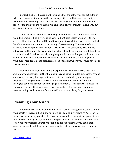Contact the State Government Housing Office for help: you can get in touch with the government housing office for any questions and information's that you would want to know regarding foreclosures. Having sufficient information about foreclosure and its connected laws will give you plenty of chance to plan a way out of this predicament situation.

Get in touch with your state housing development counselor at first. They would be bound to find a way out for you. In the United States of America there exists HUD or the Housing and Urban Development association in every state which help homeowners in times of crisis through free counseling. These counseling sessions throws light on how to avoid foreclosures. The counseling sessions are educative and helpful. They can go to the extent of explaining you every detailed law associated with foreclosures, help you plan your finance so that you could avoid the same. In some cases, they could also become the intermediary between you and your money lender. This is best alternative in situations where you would not like to face each other.

Make your savings more than the expenditure: When in a crisis situation, spend only on necessities rather than luxuries and other impulse purchases. Try and cut down your everyday expenditure so that you could make your mortgage payments. When you have to make a choice between the credit card and the mortgage payment, pay for your mortgage. Remember, credit cards are unsecured loans and can be settled by paying a lower price later. Cut down on restaurants, movies, outings and vacations for a time till you have made up for your losses.

#### <span id="page-15-0"></span>**Planning Your Assets**

A foreclosure can be avoided if you have worked through your years to build your assets. Assets could be in the form of a car, gold or silver jewelry. Assets with high resale values, any policies, shares or savings could be used at this point of time to make your mortgage payment and save your house. Like for Christmas you could buy a policy apart from your spree shopping, for your birthday you could make some investments. All these little savings are big help when you are in a financial mess.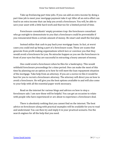Take up freelancing part time jobs. If you can add an extra income by doing a part time job to meet your mortgage payment take it up! After all an extra effort can lead to an extra income that can help you avoid a foreclosure. You will, be able to save your asset with a little hard work and that too for a limited period of time.

Foreclosure consultants' empty promises trap: the foreclosure consultant who go outright to demonstrate to you that a foreclosure could be preventable if you remunerated them a certain amount of money. Be smart and smell the foul play.

Instead utilize that cash to pay back your mortgage loans. In fact, at worst cases you could end up being a part of a foreclosure scam. These are scams that generate from profit making organizations which lure or convince you that they would avoid a foreclosure for you. No miracles happen as you see the foreclosure in front of your eyes but they are successful in extracting a heavy amount of money.

One could avoid a foreclosure when he files for a bankruptcy. This would withhold foreclosure proceedings for a time period. One can make the most of this time by planning out an option as to how he will meet the loan repayment situation of the mortgage. Take help from an attorney. If you are a novice in this it would be best for you to recruit a foreclosure attorney. The attorney will direct you on how to avoid a foreclosure. He will give you the best options available to and will also come to your help with all the essential paper work necessary.

Read on the internet for various blogs and advices on how to stop a foreclosure sale. I am sure these will be helpful. You can get an occasion to relate with people who have experienced or are about to experience a foreclosure deal.

There is absolutely nothing that you cannot find on the internet. The best advice on foreclosure along with practical examples will be available for you to read and understand. You can then try and imply it in your practical scenario. Use the search engines for all the help that you need.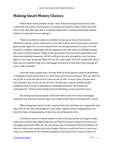#### <span id="page-17-0"></span>**Making Smart Money Choices**

Make smart money lender choice: One of the most important factors that could help one avoid a foreclosure is to study your money lender before you pick him or her. Not only that, but it is equally important to understand all the minute details of a loan prior to accepting it.

There is no limit to options available to stay away from a foreclosure. Abundant options can be worked out. Your alternatives don't stop unless you have given up the fight. So, it is very important to be strong minded. You have to work towards a solution. Remember all the happiness you felt when you finally became the owner of the property. Think of the good times that you have spent there and those uncountable memories. All of it will give you the strength to carry on your fight to save your property. Mind the use of credit cards: You will realize that after a time you are unable to pay your mortgages because you had been busy paying off your credit card bills.

Activate home equity lines: At least 90% of foreclosures could be prohibited or delayed if home equity lines of credit were previously activated. This can often be set up for no cost and can lock in rates as low as 4%. In most cases you pay zero each month if you do not access the line. No one ever expects sudden health problems, loss of a job or emergency requiring funds fast. All of these are contingencies. These events might prevent obtaining a loan once they occur.

By setting up a home equity credit line before you ever miss a mortgage payment, you will have money when you really need it. Just write yourself a check.

When things get back in order, pay back the line and then use it again the next time. But do not take advantage of it and make regular useless expenditures. It is there for times of emergencies to bail you out of financial crisis.

A friend in need is a friend indeed. In this crisis period do not forget to take help from a friend who might help you out with the money required to meet your mortgage payments. After all you can always pay a friend back that too without an interest when your sunny days arrive again! And you would not have to lose your house to a foreclosure! Do not feel ashamed to ask help from a friend, relative or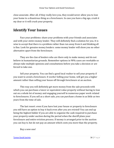close associate. After all, if they really love you, they would never allow you to lose your home to a disastrous thing as a foreclosure. In case you have a big ego, crush it my dear or it will crush your property.

#### <span id="page-18-0"></span>**Identify Your Issues**

Face your problems: share your problems with your friends and associates and with your entire money lender. They will definitely find a solution for you. It is wise to accept that there is a problem rather than run away from it and thinking all is fine. Look for genuine money lenders: some money lender will show you no other alternative apart from the foreclosure.

They are the clan of lenders who are there only to make money and do not believe in humanitarian grounds. Remember options in 90% cases are workable so always take multiple opinions and consultations before you take a decision or are forced to take one.

Sell your property. You can find a good local realtor to sell your property if you want to avoid a foreclosure. It works! Selling your home, will get you a higher amount rather than selling your house off through foreclosure at an auction.

This way you will definitely get more money from the sale proceeds with which you can purchase a lower or equivalent value property without having to lose out on a whole lot of money and engaging yourself in numerous paper work related to foreclosures. If you sell as a short sale, you can purchase a home in as little as two years from the time of sale.

The last resort: even if you have lost your house or property to foreclosure you still have an option to buy it back even after you are evicted! You can end up being the highest bidder if you are able to organize the cash required to purchase your property under auction during the period when the sheriff plans your foreclosure and entire eviction process. If money is arranged prior to the auction you can buy it, but do not pay an amount which costs you more than the property.

Buy a new one!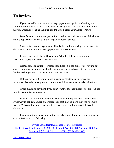#### <span id="page-19-0"></span>**To Review**

If you're unable to make your mortgage payment, get in touch with your lender immediately in order to stop foreclosure. Ignoring the bills will only make matters worse, increasing the likelihood that you'll lose your home for sure.

Look for reinstatement opportunities: in this method, the owner of the house who is apparently also the defaulter is given another chance.

Go for a forbearance agreement: That is the lender allowing the borrower to decrease or minimize the mortgage payments for a time period.

Plan a repayment plan with your fund's lender, till you have money structured to pay your actual loan amount.

Mortgage modification. Mortgage modification is the process of working out an agreement with your money lender, whereby you could request your money lender to change certain terms on your loan document.

Make sure you opt for mortgage insurance. Mortgage insurances are insurances issued against your loan amount which you can use in crisis situations.

Avoid missing a payment if you don't want to fall into the foreclosure trap. It's best to avoid missing a payment.

List and sell your home for the market value for a quick sale. This is also a great way to get from under a mortgage loan that may be more than your home is worth. This could be more than what you owe or settled for less which is called a short sale.

If you would like more information on listing your home for a shore sale, you can contact me at the following:

[Tyrese Gould Jacinto, Licensed Realtor Associate](https://www.njbiznet.com/tyrese-real-estate.html) [Tirelli-Pierce Real Estate, LLC, 2581 E. Chestnut Ave, Suite B4, Vineland, NJ 08361](https://www.njbiznet.com/tyrese-real-estate.html) [MAIN: \(856\) 362-5651, CELL: \(856\) 332-3817](https://www.njbiznet.com/tyrese-real-estate.html)